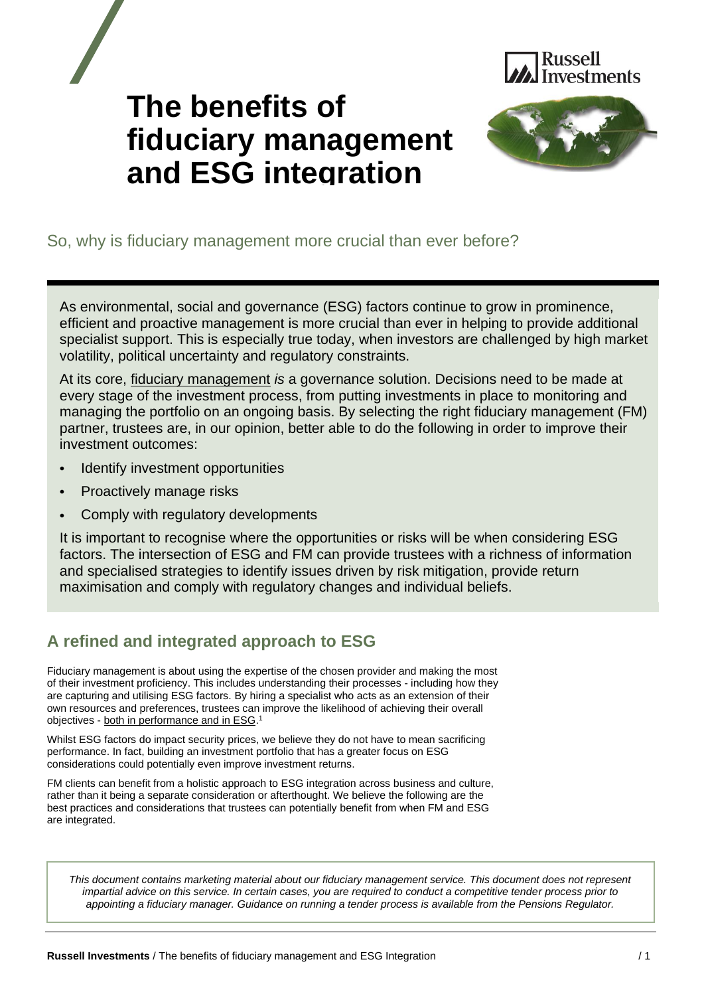

# **The benefits of fiduciary management and ESG integration**



# So, why is fiduciary management more crucial than ever before?

As environmental, social and governance (ESG) factors continue to grow in prominence, efficient and proactive management is more crucial than ever in helping to provide additional specialist support. This is especially true today, when investors are challenged by high market volatility, political uncertainty and regulatory constraints.

At its core, [fiduciary management](https://russellinvestments.com/uk/solutions/institutions/fiduciary-management) *is* a governance solution. Decisions need to be made at every stage of the investment process, from putting investments in place to monitoring and managing the portfolio on an ongoing basis. By selecting the right fiduciary management (FM) partner, trustees are, in our opinion, better able to do the following in order to improve their investment outcomes:

- Identify investment opportunities
- Proactively manage risks
- Comply with regulatory developments

It is important to recognise where the opportunities or risks will be when considering ESG factors. The intersection of ESG and FM can provide trustees with a richness of information and specialised strategies to identify issues driven by risk mitigation, provide return maximisation and comply with regulatory changes and individual beliefs.

# **A refined and integrated approach to ESG**

Fiduciary management is about using the expertise of the chosen provider and making the most of their investment proficiency. This includes understanding their processes - including how they are capturing and utilising ESG factors. By hiring a specialist who acts as an extension of their own resources and preferences, trustees can improve the likelihood of achieving their overall objectives - [both in performance and in ESG.](https://russellinvestments.com/uk/blog/when-it-comes-to-esg-and-performance-can-you-have-your-cake-and-eat-it-too)<sup>1</sup>

Whilst ESG factors do impact security prices, we believe they do not have to mean sacrificing performance. In fact, building an investment portfolio that has a greater focus on ESG considerations could potentially even improve investment returns.

FM clients can benefit from a holistic approach to ESG integration across business and culture, rather than it being a separate consideration or afterthought. We believe the following are the best practices and considerations that trustees can potentially benefit from when FM and ESG are integrated.

*This document contains marketing material about our fiduciary management service. This document does not represent impartial advice on this service. In certain cases, you are required to conduct a competitive tender process prior to appointing a fiduciary manager. Guidance on running a tender process is available from the Pensions Regulator.*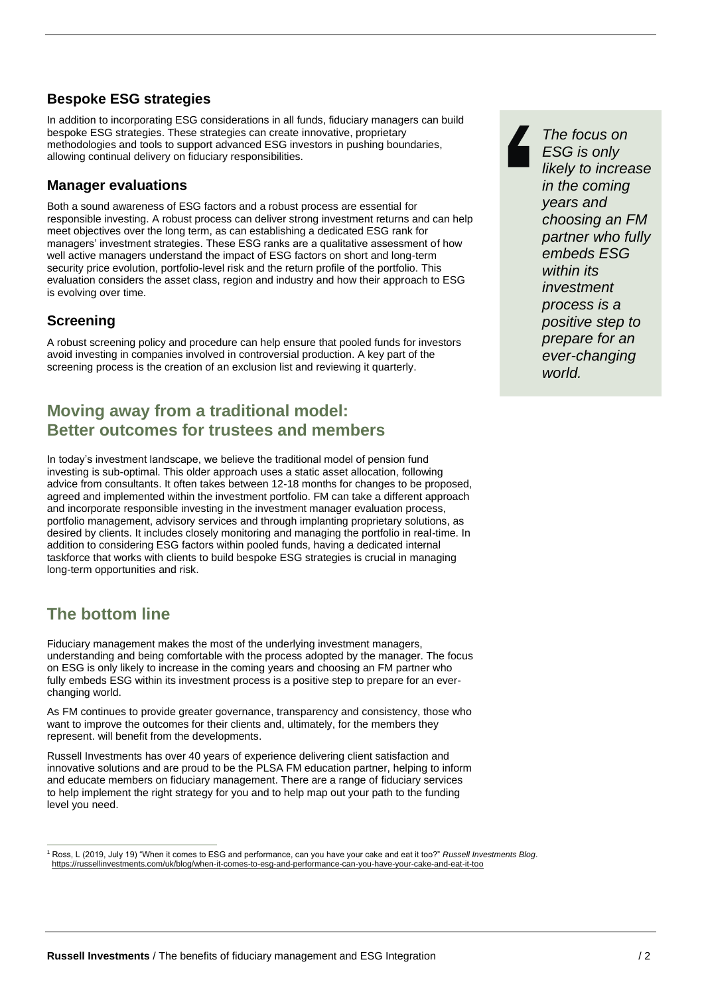#### **Bespoke ESG strategies**

In addition to incorporating ESG considerations in all funds, fiduciary managers can build bespoke ESG strategies. These strategies can create innovative, proprietary methodologies and tools to support advanced ESG investors in pushing boundaries, allowing continual delivery on fiduciary responsibilities.

#### **Manager evaluations**

Both a sound awareness of ESG factors and a robust process are essential for responsible investing. A robust process can deliver strong investment returns and can help meet objectives over the long term, as can establishing a dedicated ESG rank for managers' investment strategies. These ESG ranks are a qualitative assessment of how well active managers understand the impact of ESG factors on short and long-term security price evolution, portfolio-level risk and the return profile of the portfolio. This evaluation considers the asset class, region and industry and how their approach to ESG is evolving over time.

#### **Screening**

A robust screening policy and procedure can help ensure that pooled funds for investors avoid investing in companies involved in controversial production. A key part of the screening process is the creation of an exclusion list and reviewing it quarterly.

## **Moving away from a traditional model: Better outcomes for trustees and members**

In today's investment landscape, we believe the traditional model of pension fund investing is sub-optimal. This older approach uses a static asset allocation, following advice from consultants. It often takes between 12-18 months for changes to be proposed, agreed and implemented within the investment portfolio. FM can take a different approach and incorporate responsible investing in the investment manager evaluation process, portfolio management, advisory services and through implanting proprietary solutions, as desired by clients. It includes closely monitoring and managing the portfolio in real-time. In addition to considering ESG factors within pooled funds, having a dedicated internal taskforce that works with clients to build bespoke ESG strategies is crucial in managing long-term opportunities and risk.

# **The bottom line**

Fiduciary management makes the most of the underlying investment managers, understanding and being comfortable with the process adopted by the manager. The focus on ESG is only likely to increase in the coming years and choosing an FM partner who fully embeds ESG within its investment process is a positive step to prepare for an everchanging world.

As FM continues to provide greater governance, transparency and consistency, those who want to improve the outcomes for their clients and, ultimately, for the members they represent. will benefit from the developments.

Russell Investments has over 40 years of experience delivering client satisfaction and innovative solutions and are proud to be the PLSA FM education partner, helping to inform and educate members on fiduciary management. There are a range of fiduciary services to help implement the right strategy for you and to help map out your path to the funding level you need.



<sup>1</sup> Ross, L (2019, July 19) "When it comes to ESG and performance, can you have your cake and eat it too?" *Russell Investments Blog*. <https://russellinvestments.com/uk/blog/when-it-comes-to-esg-and-performance-can-you-have-your-cake-and-eat-it-too>